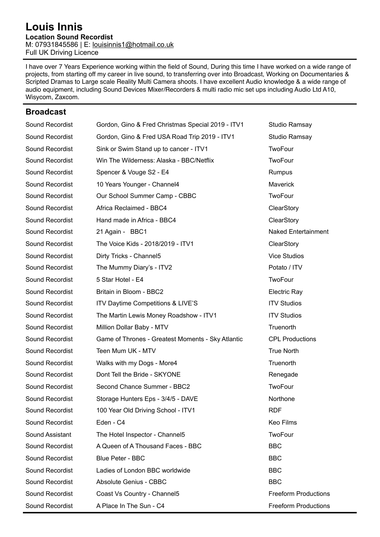#### **Louis Innis Location Sound Recordist**  M: 07931845586 | E: [louisinnis1@hotmail.co.uk](mailto:louisinnis1@hotmail.co.uk) Full UK Driving Licence

I have over 7 Years Experience working within the field of Sound, During this time I have worked on a wide range of projects, from starting off my career in live sound, to transferring over into Broadcast, Working on Documentaries & Scripted Dramas to Large scale Reality Multi Camera shoots. I have excellent Audio knowledge & a wide range of audio equipment, including Sound Devices Mixer/Recorders & multi radio mic set ups including Audio Ltd A10, Wisycom, Zaxcom.

#### **Broadcast**

| Sound Recordist | Gordon, Gino & Fred Christmas Special 2019 - ITV1 | Studio Ramsay               |
|-----------------|---------------------------------------------------|-----------------------------|
| Sound Recordist | Gordon, Gino & Fred USA Road Trip 2019 - ITV1     | Studio Ramsay               |
| Sound Recordist | Sink or Swim Stand up to cancer - ITV1            | TwoFour                     |
| Sound Recordist | Win The Wilderness: Alaska - BBC/Netflix          | TwoFour                     |
| Sound Recordist | Spencer & Vouge S2 - E4                           | Rumpus                      |
| Sound Recordist | 10 Years Younger - Channel4                       | Maverick                    |
| Sound Recordist | Our School Summer Camp - CBBC                     | TwoFour                     |
| Sound Recordist | Africa Reclaimed - BBC4                           | ClearStory                  |
| Sound Recordist | Hand made in Africa - BBC4                        | ClearStory                  |
| Sound Recordist | 21 Again - BBC1                                   | <b>Naked Entertainment</b>  |
| Sound Recordist | The Voice Kids - 2018/2019 - ITV1                 | ClearStory                  |
| Sound Recordist | Dirty Tricks - Channel5                           | <b>Vice Studios</b>         |
| Sound Recordist | The Mummy Diary's - ITV2                          | Potato / ITV                |
| Sound Recordist | 5 Star Hotel - E4                                 | TwoFour                     |
| Sound Recordist | Britain in Bloom - BBC2                           | <b>Electric Ray</b>         |
| Sound Recordist | ITV Daytime Competitions & LIVE'S                 | <b>ITV Studios</b>          |
| Sound Recordist | The Martin Lewis Money Roadshow - ITV1            | <b>ITV Studios</b>          |
| Sound Recordist | Million Dollar Baby - MTV                         | Truenorth                   |
| Sound Recordist | Game of Thrones - Greatest Moments - Sky Atlantic | <b>CPL Productions</b>      |
| Sound Recordist | Teen Mum UK - MTV                                 | <b>True North</b>           |
| Sound Recordist | Walks with my Dogs - More4                        | Truenorth                   |
| Sound Recordist | Dont Tell the Bride - SKYONE                      | Renegade                    |
| Sound Recordist | Second Chance Summer - BBC2                       | TwoFour                     |
| Sound Recordist | Storage Hunters Eps - 3/4/5 - DAVE                | Northone                    |
| Sound Recordist | 100 Year Old Driving School - ITV1                | <b>RDF</b>                  |
| Sound Recordist | Eden - C4                                         | <b>Keo Films</b>            |
| Sound Assistant | The Hotel Inspector - Channel5                    | TwoFour                     |
| Sound Recordist | A Queen of A Thousand Faces - BBC                 | <b>BBC</b>                  |
| Sound Recordist | <b>Blue Peter - BBC</b>                           | <b>BBC</b>                  |
| Sound Recordist | Ladies of London BBC worldwide                    | <b>BBC</b>                  |
| Sound Recordist | Absolute Genius - CBBC                            | <b>BBC</b>                  |
| Sound Recordist | Coast Vs Country - Channel5                       | <b>Freeform Productions</b> |
| Sound Recordist | A Place In The Sun - C4                           | <b>Freeform Productions</b> |